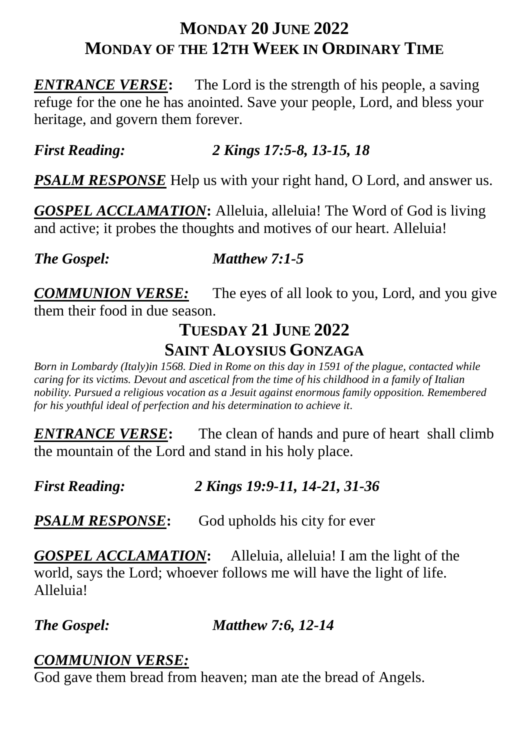#### **MONDAY 20 JUNE 2022 MONDAY OF THE 12TH WEEK IN ORDINARY TIME**

**ENTRANCE VERSE:** The Lord is the strength of his people, a saving refuge for the one he has anointed. Save your people, Lord, and bless your heritage, and govern them forever.

#### *First Reading: 2 Kings 17:5-8, 13-15, 18*

*PSALM RESPONSE* Help us with your right hand, O Lord, and answer us.

*GOSPEL ACCLAMATION***:** Alleluia, alleluia! The Word of God is living and active; it probes the thoughts and motives of our heart. Alleluia!

*The Gospel: Matthew 7:1-5*

*COMMUNION VERSE:* The eyes of all look to you, Lord, and you give them their food in due season.

#### **TUESDAY 21 JUNE 2022**

#### **SAINT ALOYSIUS GONZAGA**

*Born in Lombardy (Italy)in 1568. Died in Rome on this day in 1591 of the plague, contacted while caring for its victims. Devout and ascetical from the time of his childhood in a family of Italian nobility. Pursued a religious vocation as a Jesuit against enormous family opposition. Remembered for his youthful ideal of perfection and his determination to achieve it.*

**ENTRANCE VERSE:** The clean of hands and pure of heart shall climb the mountain of the Lord and stand in his holy place.

*First Reading: 2 Kings 19:9-11, 14-21, 31-36*

**PSALM RESPONSE:** God upholds his city for ever

*GOSPEL ACCLAMATION***:** Alleluia, alleluia! I am the light of the world, says the Lord; whoever follows me will have the light of life. Alleluia!

#### *The Gospel: Matthew 7:6, 12-14*

#### *COMMUNION VERSE:*

God gave them bread from heaven; man ate the bread of Angels.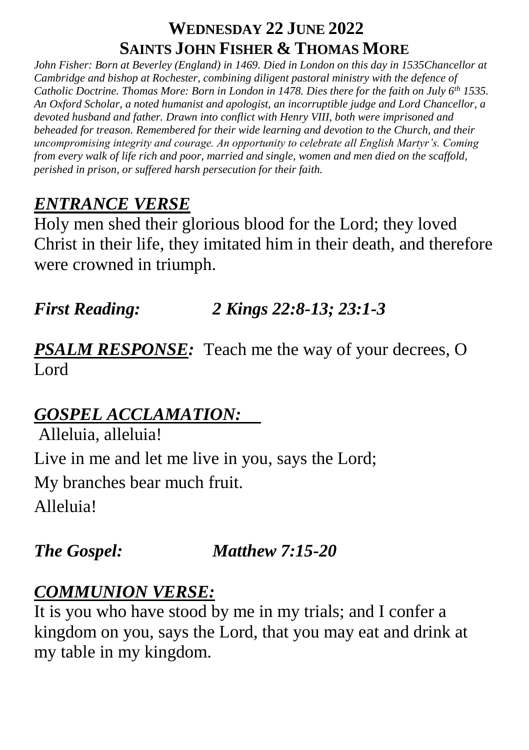## **WEDNESDAY 22 JUNE 2022 SAINTS JOHN FISHER & THOMAS MORE**

*John Fisher: Born at Beverley (England) in 1469. Died in London on this day in 1535Chancellor at Cambridge and bishop at Rochester, combining diligent pastoral ministry with the defence of Catholic Doctrine. Thomas More: Born in London in 1478. Dies there for the faith on July 6th 1535. An Oxford Scholar, a noted humanist and apologist, an incorruptible judge and Lord Chancellor, a devoted husband and father. Drawn into conflict with Henry VIII, both were imprisoned and beheaded for treason. Remembered for their wide learning and devotion to the Church, and their uncompromising integrity and courage. An opportunity to celebrate all English Martyr's. Coming from every walk of life rich and poor, married and single, women and men died on the scaffold, perished in prison, or suffered harsh persecution for their faith.*

# *ENTRANCE VERSE*

Holy men shed their glorious blood for the Lord; they loved Christ in their life, they imitated him in their death, and therefore were crowned in triumph.

# *First Reading: 2 Kings 22:8-13; 23:1-3*

**PSALM RESPONSE:** Teach me the way of your decrees, O Lord

# *GOSPEL ACCLAMATION:*

Alleluia, alleluia! Live in me and let me live in you, says the Lord; My branches bear much fruit. Alleluia!

## *The Gospel: Matthew 7:15-20*

## *COMMUNION VERSE:*

It is you who have stood by me in my trials; and I confer a kingdom on you, says the Lord, that you may eat and drink at my table in my kingdom.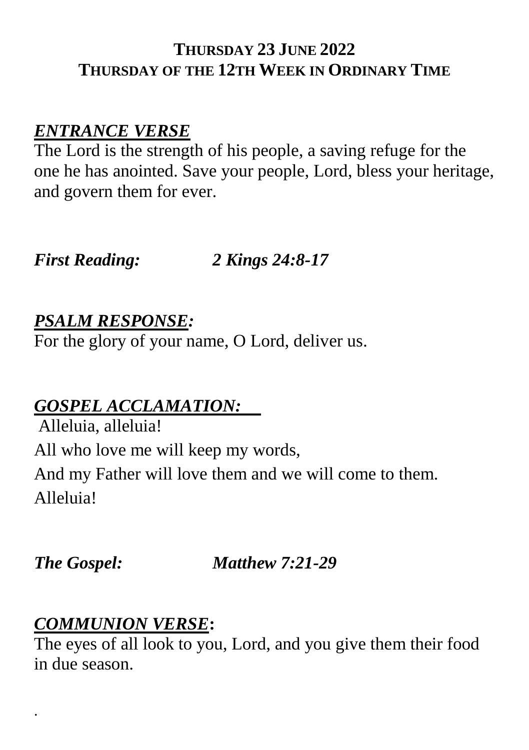#### **THURSDAY 23 JUNE 2022 THURSDAY OF THE 12TH WEEK IN ORDINARY TIME**

### *ENTRANCE VERSE*

The Lord is the strength of his people, a saving refuge for the one he has anointed. Save your people, Lord, bless your heritage, and govern them for ever.

*First Reading: 2 Kings 24:8-17*

#### *PSALM RESPONSE:*

For the glory of your name, O Lord, deliver us.

#### *GOSPEL ACCLAMATION:*

Alleluia, alleluia! All who love me will keep my words, And my Father will love them and we will come to them. Alleluia!

.

*The Gospel: Matthew 7:21-29*

#### *COMMUNION VERSE***:**

The eyes of all look to you, Lord, and you give them their food in due season.